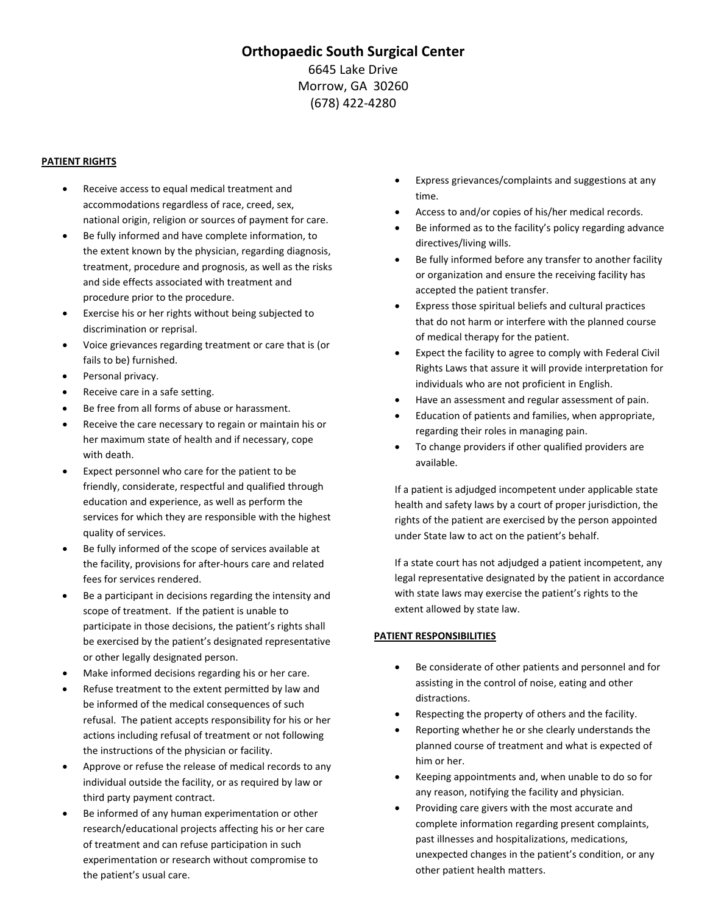# **Orthopaedic South Surgical Center** 6645 Lake Drive Morrow, GA 30260 (678) 422‐4280

### **PATIENT RIGHTS**

- Receive access to equal medical treatment and accommodations regardless of race, creed, sex, national origin, religion or sources of payment for care.
- Be fully informed and have complete information, to the extent known by the physician, regarding diagnosis, treatment, procedure and prognosis, as well as the risks and side effects associated with treatment and procedure prior to the procedure.
- Exercise his or her rights without being subjected to discrimination or reprisal.
- Voice grievances regarding treatment or care that is (or fails to be) furnished.
- Personal privacy.
- Receive care in a safe setting.
- Be free from all forms of abuse or harassment.
- Receive the care necessary to regain or maintain his or her maximum state of health and if necessary, cope with death.
- Expect personnel who care for the patient to be friendly, considerate, respectful and qualified through education and experience, as well as perform the services for which they are responsible with the highest quality of services.
- Be fully informed of the scope of services available at the facility, provisions for after‐hours care and related fees for services rendered.
- Be a participant in decisions regarding the intensity and scope of treatment. If the patient is unable to participate in those decisions, the patient's rights shall be exercised by the patient's designated representative or other legally designated person.
- Make informed decisions regarding his or her care.
- Refuse treatment to the extent permitted by law and be informed of the medical consequences of such refusal. The patient accepts responsibility for his or her actions including refusal of treatment or not following the instructions of the physician or facility.
- Approve or refuse the release of medical records to any individual outside the facility, or as required by law or third party payment contract.
- Be informed of any human experimentation or other research/educational projects affecting his or her care of treatment and can refuse participation in such experimentation or research without compromise to the patient's usual care.
- Express grievances/complaints and suggestions at any time.
- Access to and/or copies of his/her medical records.
- Be informed as to the facility's policy regarding advance directives/living wills.
- Be fully informed before any transfer to another facility or organization and ensure the receiving facility has accepted the patient transfer.
- Express those spiritual beliefs and cultural practices that do not harm or interfere with the planned course of medical therapy for the patient.
- Expect the facility to agree to comply with Federal Civil Rights Laws that assure it will provide interpretation for individuals who are not proficient in English.
- Have an assessment and regular assessment of pain.
- Education of patients and families, when appropriate, regarding their roles in managing pain.
- To change providers if other qualified providers are available.

If a patient is adjudged incompetent under applicable state health and safety laws by a court of proper jurisdiction, the rights of the patient are exercised by the person appointed under State law to act on the patient's behalf.

If a state court has not adjudged a patient incompetent, any legal representative designated by the patient in accordance with state laws may exercise the patient's rights to the extent allowed by state law.

### **PATIENT RESPONSIBILITIES**

- Be considerate of other patients and personnel and for assisting in the control of noise, eating and other distractions.
- Respecting the property of others and the facility.
- Reporting whether he or she clearly understands the planned course of treatment and what is expected of him or her.
- Keeping appointments and, when unable to do so for any reason, notifying the facility and physician.
- Providing care givers with the most accurate and complete information regarding present complaints, past illnesses and hospitalizations, medications, unexpected changes in the patient's condition, or any other patient health matters.